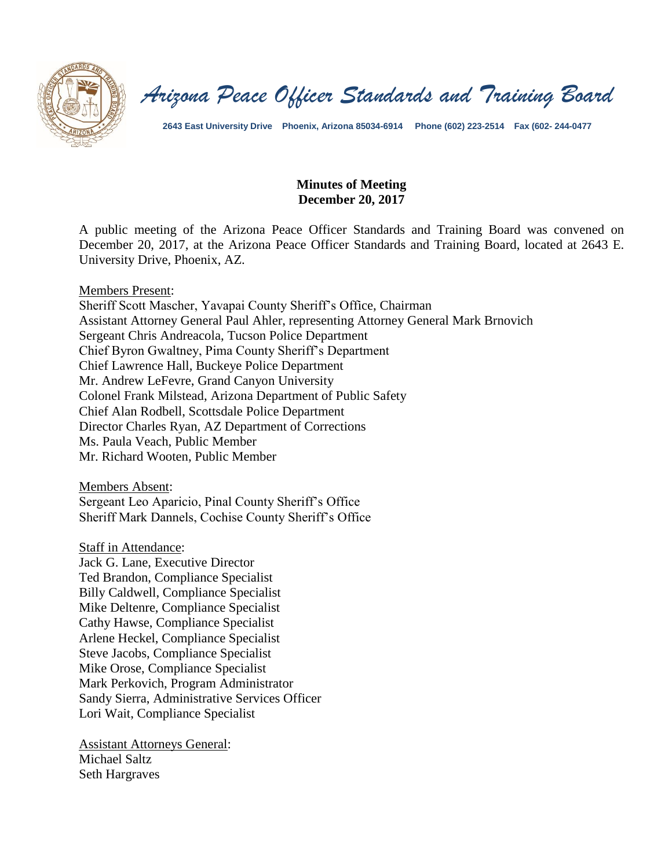

*Arizona Peace Officer Standards and Training Board*

**2643 East University Drive Phoenix, Arizona 85034-6914 Phone (602) 223-2514 Fax (602- 244-0477**

#### **Minutes of Meeting December 20, 2017**

A public meeting of the Arizona Peace Officer Standards and Training Board was convened on December 20, 2017, at the Arizona Peace Officer Standards and Training Board, located at 2643 E. University Drive, Phoenix, AZ.

Members Present:

Sheriff Scott Mascher, Yavapai County Sheriff's Office, Chairman Assistant Attorney General Paul Ahler, representing Attorney General Mark Brnovich Sergeant Chris Andreacola, Tucson Police Department Chief Byron Gwaltney, Pima County Sheriff's Department Chief Lawrence Hall, Buckeye Police Department Mr. Andrew LeFevre, Grand Canyon University Colonel Frank Milstead, Arizona Department of Public Safety Chief Alan Rodbell, Scottsdale Police Department Director Charles Ryan, AZ Department of Corrections Ms. Paula Veach, Public Member Mr. Richard Wooten, Public Member

Members Absent: Sergeant Leo Aparicio, Pinal County Sheriff's Office Sheriff Mark Dannels, Cochise County Sheriff's Office

Staff in Attendance:

Jack G. Lane, Executive Director Ted Brandon, Compliance Specialist Billy Caldwell, Compliance Specialist Mike Deltenre, Compliance Specialist Cathy Hawse, Compliance Specialist Arlene Heckel, Compliance Specialist Steve Jacobs, Compliance Specialist Mike Orose, Compliance Specialist Mark Perkovich, Program Administrator Sandy Sierra, Administrative Services Officer Lori Wait, Compliance Specialist

Assistant Attorneys General: Michael Saltz Seth Hargraves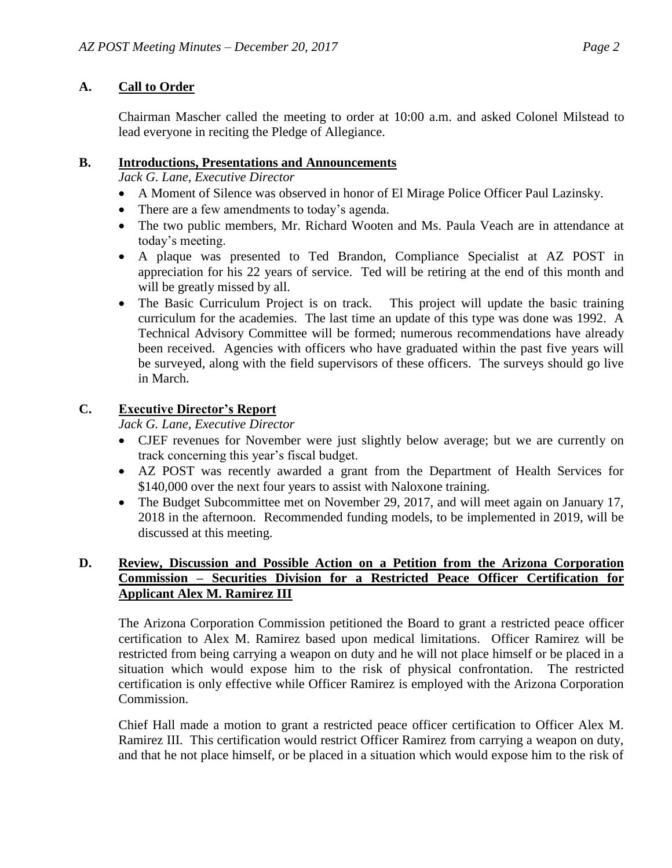# **A. Call to Order**

Chairman Mascher called the meeting to order at 10:00 a.m. and asked Colonel Milstead to lead everyone in reciting the Pledge of Allegiance.

### **B. Introductions, Presentations and Announcements**

*Jack G. Lane, Executive Director*

- A Moment of Silence was observed in honor of El Mirage Police Officer Paul Lazinsky.
- There are a few amendments to today's agenda.
- The two public members, Mr. Richard Wooten and Ms. Paula Veach are in attendance at today's meeting.
- A plaque was presented to Ted Brandon, Compliance Specialist at AZ POST in appreciation for his 22 years of service. Ted will be retiring at the end of this month and will be greatly missed by all.
- The Basic Curriculum Project is on track. This project will update the basic training curriculum for the academies. The last time an update of this type was done was 1992. A Technical Advisory Committee will be formed; numerous recommendations have already been received. Agencies with officers who have graduated within the past five years will be surveyed, along with the field supervisors of these officers. The surveys should go live in March.

# **C. Executive Director's Report**

*Jack G. Lane, Executive Director*

- CJEF revenues for November were just slightly below average; but we are currently on track concerning this year's fiscal budget.
- AZ POST was recently awarded a grant from the Department of Health Services for \$140,000 over the next four years to assist with Naloxone training.
- The Budget Subcommittee met on November 29, 2017, and will meet again on January 17, 2018 in the afternoon. Recommended funding models, to be implemented in 2019, will be discussed at this meeting.

## **D. Review, Discussion and Possible Action on a Petition from the Arizona Corporation Commission – Securities Division for a Restricted Peace Officer Certification for Applicant Alex M. Ramirez III**

The Arizona Corporation Commission petitioned the Board to grant a restricted peace officer certification to Alex M. Ramirez based upon medical limitations. Officer Ramirez will be restricted from being carrying a weapon on duty and he will not place himself or be placed in a situation which would expose him to the risk of physical confrontation. The restricted certification is only effective while Officer Ramirez is employed with the Arizona Corporation Commission.

Chief Hall made a motion to grant a restricted peace officer certification to Officer Alex M. Ramirez III. This certification would restrict Officer Ramirez from carrying a weapon on duty, and that he not place himself, or be placed in a situation which would expose him to the risk of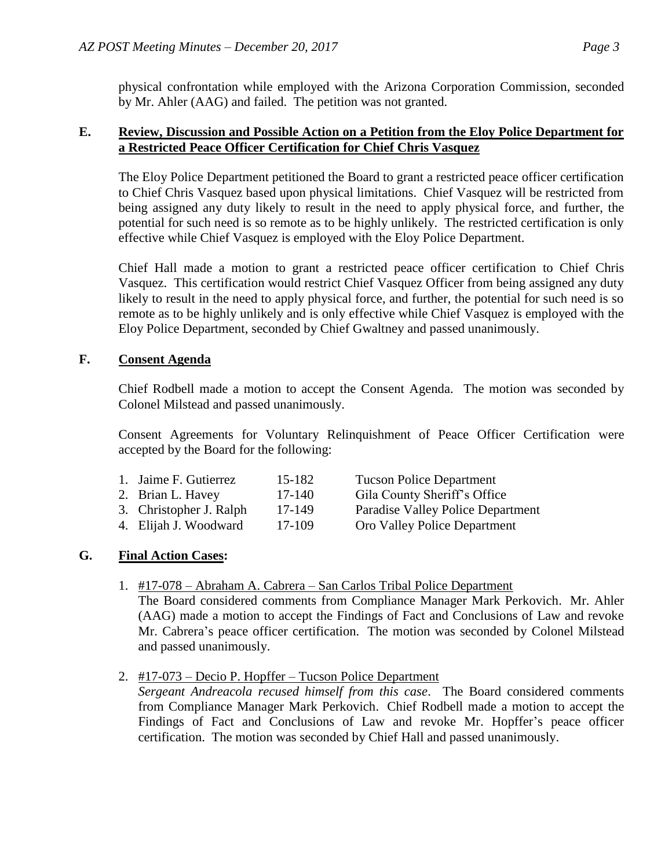physical confrontation while employed with the Arizona Corporation Commission, seconded by Mr. Ahler (AAG) and failed. The petition was not granted.

#### **E. Review, Discussion and Possible Action on a Petition from the Eloy Police Department for a Restricted Peace Officer Certification for Chief Chris Vasquez**

The Eloy Police Department petitioned the Board to grant a restricted peace officer certification to Chief Chris Vasquez based upon physical limitations. Chief Vasquez will be restricted from being assigned any duty likely to result in the need to apply physical force, and further, the potential for such need is so remote as to be highly unlikely. The restricted certification is only effective while Chief Vasquez is employed with the Eloy Police Department.

Chief Hall made a motion to grant a restricted peace officer certification to Chief Chris Vasquez. This certification would restrict Chief Vasquez Officer from being assigned any duty likely to result in the need to apply physical force, and further, the potential for such need is so remote as to be highly unlikely and is only effective while Chief Vasquez is employed with the Eloy Police Department, seconded by Chief Gwaltney and passed unanimously.

#### **F. Consent Agenda**

Chief Rodbell made a motion to accept the Consent Agenda. The motion was seconded by Colonel Milstead and passed unanimously.

Consent Agreements for Voluntary Relinquishment of Peace Officer Certification were accepted by the Board for the following:

| 1. Jaime F. Gutierrez   | 15-182 | <b>Tucson Police Department</b>          |
|-------------------------|--------|------------------------------------------|
| 2. Brian L. Havey       | 17-140 | Gila County Sheriff's Office             |
| 3. Christopher J. Ralph | 17-149 | <b>Paradise Valley Police Department</b> |

- 4. Elijah J. Woodward 17-109 Oro Valley Police Department
- -

## **G. Final Action Cases:**

1. #17-078 – Abraham A. Cabrera – San Carlos Tribal Police Department

The Board considered comments from Compliance Manager Mark Perkovich. Mr. Ahler (AAG) made a motion to accept the Findings of Fact and Conclusions of Law and revoke Mr. Cabrera's peace officer certification. The motion was seconded by Colonel Milstead and passed unanimously.

2. #17-073 – Decio P. Hopffer – Tucson Police Department

*Sergeant Andreacola recused himself from this case*. The Board considered comments from Compliance Manager Mark Perkovich. Chief Rodbell made a motion to accept the Findings of Fact and Conclusions of Law and revoke Mr. Hopffer's peace officer certification. The motion was seconded by Chief Hall and passed unanimously.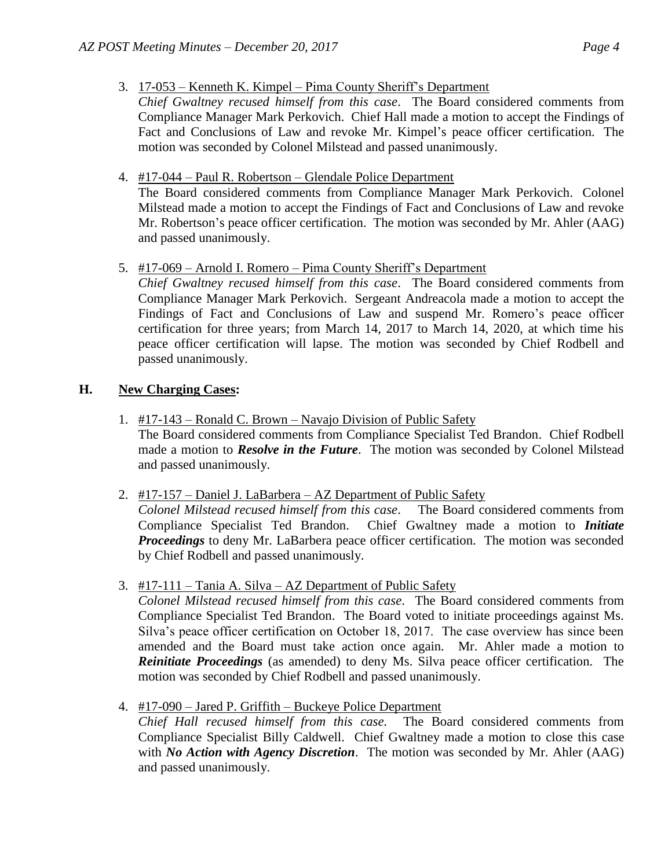- 3. 17-053 Kenneth K. Kimpel Pima County Sheriff's Department
- *Chief Gwaltney recused himself from this case*. The Board considered comments from Compliance Manager Mark Perkovich. Chief Hall made a motion to accept the Findings of Fact and Conclusions of Law and revoke Mr. Kimpel's peace officer certification. The motion was seconded by Colonel Milstead and passed unanimously.
- 4. #17-044 Paul R. Robertson Glendale Police Department

The Board considered comments from Compliance Manager Mark Perkovich. Colonel Milstead made a motion to accept the Findings of Fact and Conclusions of Law and revoke Mr. Robertson's peace officer certification. The motion was seconded by Mr. Ahler (AAG) and passed unanimously.

5. #17-069 – Arnold I. Romero – Pima County Sheriff's Department

*Chief Gwaltney recused himself from this case*. The Board considered comments from Compliance Manager Mark Perkovich. Sergeant Andreacola made a motion to accept the Findings of Fact and Conclusions of Law and suspend Mr. Romero's peace officer certification for three years; from March 14, 2017 to March 14, 2020, at which time his peace officer certification will lapse. The motion was seconded by Chief Rodbell and passed unanimously.

## **H. New Charging Cases:**

- 1. #17-143 Ronald C. Brown Navajo Division of Public Safety The Board considered comments from Compliance Specialist Ted Brandon. Chief Rodbell made a motion to *Resolve in the Future*. The motion was seconded by Colonel Milstead and passed unanimously.
- 2. #17-157 Daniel J. LaBarbera AZ Department of Public Safety

*Colonel Milstead recused himself from this case*. The Board considered comments from Compliance Specialist Ted Brandon. Chief Gwaltney made a motion to *Initiate Proceedings* to deny Mr. LaBarbera peace officer certification. The motion was seconded by Chief Rodbell and passed unanimously.

3. #17-111 – Tania A. Silva – AZ Department of Public Safety

*Colonel Milstead recused himself from this case.* The Board considered comments from Compliance Specialist Ted Brandon. The Board voted to initiate proceedings against Ms. Silva's peace officer certification on October 18, 2017. The case overview has since been amended and the Board must take action once again. Mr. Ahler made a motion to *Reinitiate Proceedings* (as amended) to deny Ms. Silva peace officer certification. The motion was seconded by Chief Rodbell and passed unanimously.

4. #17-090 – Jared P. Griffith – Buckeye Police Department

*Chief Hall recused himself from this case.* The Board considered comments from Compliance Specialist Billy Caldwell. Chief Gwaltney made a motion to close this case with *No Action with Agency Discretion*. The motion was seconded by Mr. Ahler (AAG) and passed unanimously.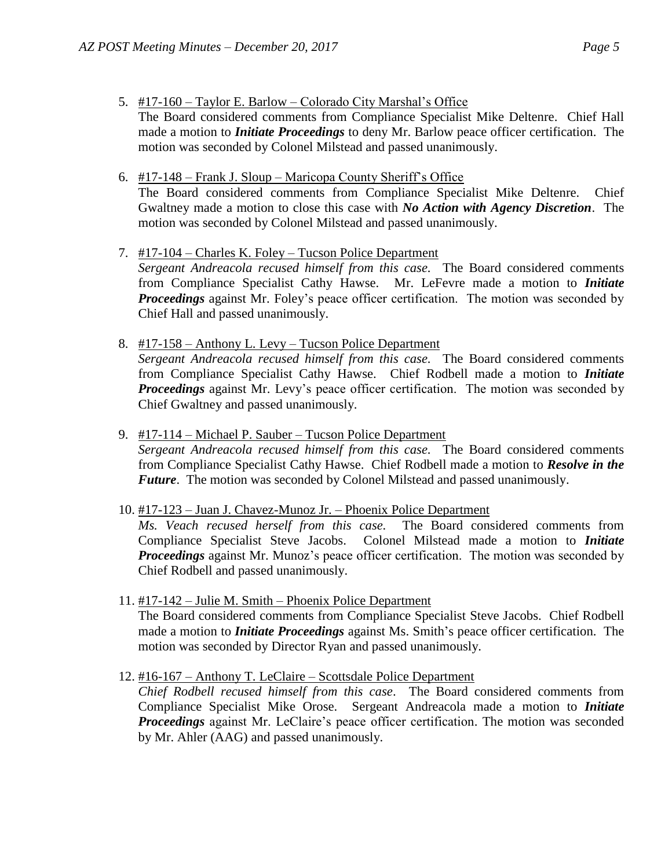- 5. #17-160 Taylor E. Barlow Colorado City Marshal's Office The Board considered comments from Compliance Specialist Mike Deltenre. Chief Hall made a motion to *Initiate Proceedings* to deny Mr. Barlow peace officer certification. The motion was seconded by Colonel Milstead and passed unanimously.
- 6. #17-148 Frank J. Sloup Maricopa County Sheriff's Office The Board considered comments from Compliance Specialist Mike Deltenre. Chief Gwaltney made a motion to close this case with *No Action with Agency Discretion*. The motion was seconded by Colonel Milstead and passed unanimously.
- 7. #17-104 Charles K. Foley Tucson Police Department *Sergeant Andreacola recused himself from this case.* The Board considered comments from Compliance Specialist Cathy Hawse. Mr. LeFevre made a motion to *Initiate Proceedings* against Mr. Foley's peace officer certification. The motion was seconded by Chief Hall and passed unanimously.
- 8. #17-158 Anthony L. Levy Tucson Police Department *Sergeant Andreacola recused himself from this case.* The Board considered comments from Compliance Specialist Cathy Hawse. Chief Rodbell made a motion to *Initiate Proceedings* against Mr. Levy's peace officer certification. The motion was seconded by Chief Gwaltney and passed unanimously.
- 9. #17-114 Michael P. Sauber Tucson Police Department *Sergeant Andreacola recused himself from this case.* The Board considered comments from Compliance Specialist Cathy Hawse. Chief Rodbell made a motion to *Resolve in the Future*. The motion was seconded by Colonel Milstead and passed unanimously.
- 10. #17-123 Juan J. Chavez-Munoz Jr. Phoenix Police Department *Ms. Veach recused herself from this case.* The Board considered comments from Compliance Specialist Steve Jacobs. Colonel Milstead made a motion to *Initiate Proceedings* against Mr. Munoz's peace officer certification. The motion was seconded by Chief Rodbell and passed unanimously.
- 11. #17-142 Julie M. Smith Phoenix Police Department The Board considered comments from Compliance Specialist Steve Jacobs. Chief Rodbell made a motion to *Initiate Proceedings* against Ms. Smith's peace officer certification. The motion was seconded by Director Ryan and passed unanimously.
- 12. #16-167 Anthony T. LeClaire Scottsdale Police Department *Chief Rodbell recused himself from this case*. The Board considered comments from Compliance Specialist Mike Orose. Sergeant Andreacola made a motion to *Initiate Proceedings* against Mr. LeClaire's peace officer certification. The motion was seconded by Mr. Ahler (AAG) and passed unanimously.